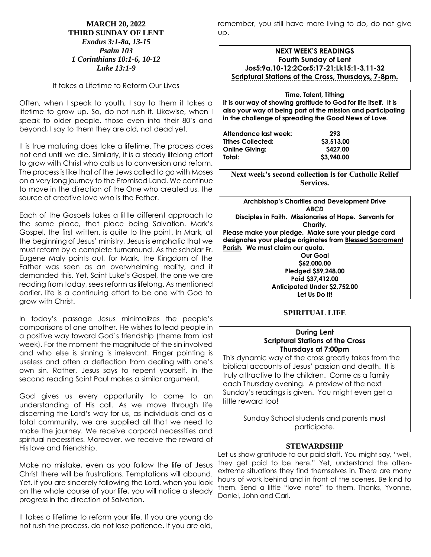#### **MARCH 20, 2022 THIRD SUNDAY OF LENT** *Exodus 3:1-8a, 13-15 Psalm 103 1 Corinthians 10:1-6, 10-12 Luke 13:1-9*

It takes a Lifetime to Reform Our Lives

Often, when I speak to youth, I say to them it takes a lifetime to grow up. So, do not rush it. Likewise, when I speak to older people, those even into their 80's and beyond, I say to them they are old, not dead yet.

It is true maturing does take a lifetime. The process does not end until we die. Similarly, it is a steady lifelong effort to grow with Christ who calls us to conversion and reform. The process is like that of the Jews called to go with Moses on a very long journey to the Promised Land. We continue to move in the direction of the One who created us, the source of creative love who is the Father.

Each of the Gospels takes a little different approach to the same place, that place being Salvation. Mark's Gospel, the first written, is quite to the point. In Mark, at the beginning of Jesus' ministry, Jesus is emphatic that we must reform by a complete turnaround. As the scholar Fr. Eugene Maly points out, for Mark, the Kingdom of the Father was seen as an overwhelming reality, and it demanded this. Yet, Saint Luke's Gospel, the one we are reading from today, sees reform as lifelong. As mentioned earlier, life is a continuing effort to be one with God to grow with Christ.

In today's passage Jesus minimalizes the people's comparisons of one another. He wishes to lead people in a positive way toward God's friendship (theme from last week). For the moment the magnitude of the sin involved and who else is sinning is irrelevant. Finger pointing is useless and often a deflection from dealing with one's own sin. Rather, Jesus says to repent yourself. In the second reading Saint Paul makes a similar argument.

God gives us every opportunity to come to an understanding of His call. As we move through life discerning the Lord's way for us, as individuals and as a total community, we are supplied all that we need to make the journey. We receive corporal necessities and spiritual necessities. Moreover, we receive the reward of His love and friendship.

Make no mistake, even as you follow the life of Jesus Christ there will be frustrations. Temptations will abound. Yet, if you are sincerely following the Lord, when you look on the whole course of your life, you will notice a steady progress in the direction of Salvation.

It takes a lifetime to reform your life. If you are young do not rush the process, do not lose patience. If you are old,

remember, you still have more living to do, do not give up.

### **NEXT WEEK'S READINGS Fourth Sunday of Lent Jos5:9a,10-12;2Cor5:17-21;Lk15:1-3,11-32 Scriptural Stations of the Cross, Thursdays, 7-8pm.**

**Time, Talent, Tithing It is our way of showing gratitude to God for life itself. It is also your way of being part of the mission and participating in the challenge of spreading the Good News of Love.**

| Attendance last week:    | 293        |
|--------------------------|------------|
| <b>Tithes Collected:</b> | \$3,513.00 |
| <b>Online Giving:</b>    | \$427.00   |
| Total:                   | \$3,940.00 |

**Next week's second collection is for Catholic Relief Services.**

**Archbishop's Charities and Development Drive** *ABCD* **Disciples in Faith. Missionaries of Hope. Servants for Charity. Please make your pledge. Make sure your pledge card designates your pledge originates from Blessed Sacrament Parish. We must claim our quota. Our Goal \$62,000.00 Pledged \$59,248.00 Paid \$37,412.00 Anticipated Under \$2,752.00 Let Us Do It!**

### **SPIRITUAL LIFE**

#### **During Lent Scriptural Stations of the Cross Thursdays at 7:00pm**

This dynamic way of the cross greatly takes from the biblical accounts of Jesus' passion and death. It is truly attractive to the children. Come as a family each Thursday evening. A preview of the next Sunday's readings is given. You might even get a little reward too!

Sunday School students and parents must participate.

### **STEWARDSHIP**

Let us show gratitude to our paid staff. You might say, "well, they get paid to be here." Yet, understand the oftenextreme situations they find themselves in. There are many hours of work behind and in front of the scenes. Be kind to them. Send a little "love note" to them. Thanks, Yvonne, Daniel, John and Carl.